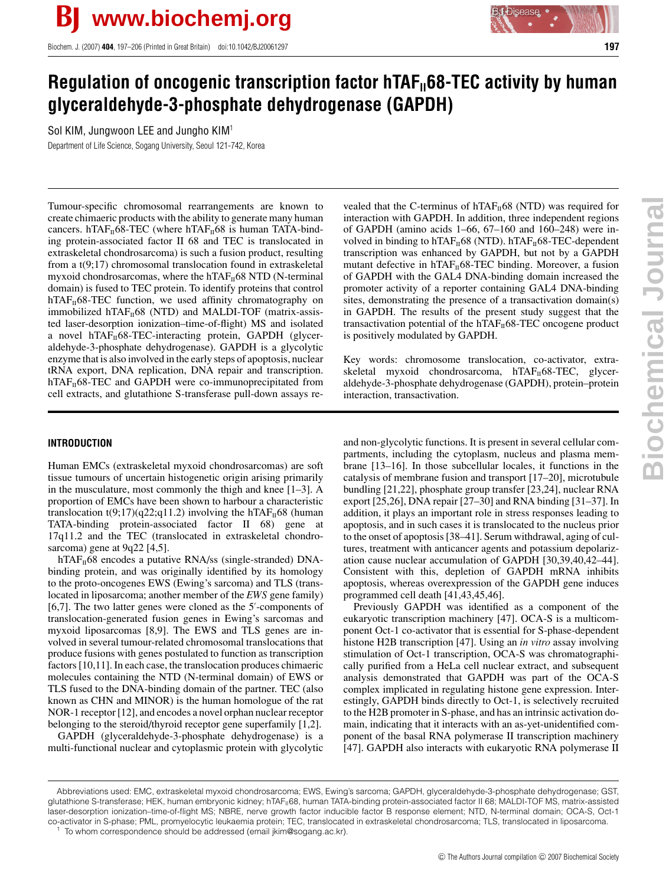Biochem. J. (2007) **404**, 197–206 (Printed in Great Britain) doi:10.1042/BJ20061297 **197**



# **Regulation of oncogenic transcription factor hTAF**<sub>II</sub>68-TEC activity by human **glyceraldehyde-3-phosphate dehydrogenase (GAPDH)**

Sol KIM, Jungwoon LEE and Jungho KIM<sup>1</sup>

Department of Life Science, Sogang University, Seoul 121-742, Korea

Tumour-specific chromosomal rearrangements are known to create chimaeric products with the ability to generate many human cancers. hTAF $_{II}$ 68-TEC (where hTAF $_{II}$ 68 is human TATA-binding protein-associated factor II 68 and TEC is translocated in extraskeletal chondrosarcoma) is such a fusion product, resulting from a t(9;17) chromosomal translocation found in extraskeletal myxoid chondrosarcomas, where the hTAF $_{II}$ 68 NTD (N-terminal domain) is fused to TEC protein. To identify proteins that control hTAF $_{II}$ 68-TEC function, we used affinity chromatography on immobilized hTAF $_{II}$ 68 (NTD) and MALDI-TOF (matrix-assisted laser-desorption ionization–time-of-flight) MS and isolated a novel  $hTAF<sub>II</sub>68-TEC-interacting protein, GAPDH (glycer$ aldehyde-3-phosphate dehydrogenase). GAPDH is a glycolytic enzyme that is also involved in the early steps of apoptosis, nuclear tRNA export, DNA replication, DNA repair and transcription.  $hTAF<sub>II</sub>68-TEC$  and GAPDH were co-immunoprecipitated from cell extracts, and glutathione S-transferase pull-down assays re-

**INTRODUCTION**

Human EMCs (extraskeletal myxoid chondrosarcomas) are soft tissue tumours of uncertain histogenetic origin arising primarily in the musculature, most commonly the thigh and knee [1–3]. A proportion of EMCs have been shown to harbour a characteristic translocation t(9;17)(q22;q11.2) involving the hTAF $_{II}$ 68 (human TATA-binding protein-associated factor II 68) gene at 17q11.2 and the TEC (translocated in extraskeletal chondrosarcoma) gene at 9q22 [4,5].

hTAF $_{\text{II}}$ 68 encodes a putative RNA/ss (single-stranded) DNAbinding protein, and was originally identified by its homology to the proto-oncogenes EWS (Ewing's sarcoma) and TLS (translocated in liposarcoma; another member of the *EWS* gene family) [6,7]. The two latter genes were cloned as the 5 -components of translocation-generated fusion genes in Ewing's sarcomas and myxoid liposarcomas [8,9]. The EWS and TLS genes are involved in several tumour-related chromosomal translocations that produce fusions with genes postulated to function as transcription factors [10,11]. In each case, the translocation produces chimaeric molecules containing the NTD (N-terminal domain) of EWS or TLS fused to the DNA-binding domain of the partner. TEC (also known as CHN and MINOR) is the human homologue of the rat NOR-1 receptor [12], and encodes a novel orphan nuclear receptor belonging to the steroid/thyroid receptor gene superfamily [1,2].

GAPDH (glyceraldehyde-3-phosphate dehydrogenase) is a multi-functional nuclear and cytoplasmic protein with glycolytic vealed that the C-terminus of  $hTAF<sub>II</sub>68$  (NTD) was required for interaction with GAPDH. In addition, three independent regions of GAPDH (amino acids 1–66, 67–160 and 160–248) were involved in binding to hTAF $_H$ 68 (NTD). hTAF $_H$ 68-TEC-dependent transcription was enhanced by GAPDH, but not by a GAPDH mutant defective in  $hTAF_{II}68-TEC$  binding. Moreover, a fusion of GAPDH with the GAL4 DNA-binding domain increased the promoter activity of a reporter containing GAL4 DNA-binding sites, demonstrating the presence of a transactivation domain(s) in GAPDH. The results of the present study suggest that the transactivation potential of the hTAF $_{II}$ 68-TEC oncogene product is positively modulated by GAPDH.

Key words: chromosome translocation, co-activator, extraskeletal myxoid chondrosarcoma, hTAF $_{\text{II}}$ 68-TEC, glyceraldehyde-3-phosphate dehydrogenase (GAPDH), protein–protein interaction, transactivation.

and non-glycolytic functions. It is present in several cellular compartments, including the cytoplasm, nucleus and plasma membrane [13–16]. In those subcellular locales, it functions in the catalysis of membrane fusion and transport [17–20], microtubule bundling [21,22], phosphate group transfer [23,24], nuclear RNA export [25,26], DNA repair [27–30] and RNA binding [31–37]. In addition, it plays an important role in stress responses leading to apoptosis, and in such cases it is translocated to the nucleus prior to the onset of apoptosis [38–41]. Serum withdrawal, aging of cultures, treatment with anticancer agents and potassium depolarization cause nuclear accumulation of GAPDH [30,39,40,42–44]. Consistent with this, depletion of GAPDH mRNA inhibits apoptosis, whereas overexpression of the GAPDH gene induces programmed cell death [41,43,45,46].

Previously GAPDH was identified as a component of the eukaryotic transcription machinery [47]. OCA-S is a multicomponent Oct-1 co-activator that is essential for S-phase-dependent histone H2B transcription [47]. Using an *in vitro* assay involving stimulation of Oct-1 transcription, OCA-S was chromatographically purified from a HeLa cell nuclear extract, and subsequent analysis demonstrated that GAPDH was part of the OCA-S complex implicated in regulating histone gene expression. Interestingly, GAPDH binds directly to Oct-1, is selectively recruited to the H2B promoter in S-phase, and has an intrinsic activation domain, indicating that it interacts with an as-yet-unidentified component of the basal RNA polymerase II transcription machinery [47]. GAPDH also interacts with eukaryotic RNA polymerase II

Abbreviations used: EMC, extraskeletal myxoid chondrosarcoma; EWS, Ewing's sarcoma; GAPDH, glyceraldehyde-3-phosphate dehydrogenase; GST, glutathione S-transferase; HEK, human embryonic kidney; hTAF<sub>II</sub>68, human TATA-binding protein-associated factor II 68; MALDI-TOF MS, matrix-assisted laser-desorption ionization–time-of-flight MS; NBRE, nerve growth factor inducible factor B response element; NTD, N-terminal domain; OCA-S, Oct-1 co-activator in S-phase; PML, promyelocytic leukaemia protein; TEC, translocated in extraskeletal chondrosarcoma; TLS, translocated in liposarcoma. To whom correspondence should be addressed (email jkim@sogang.ac.kr).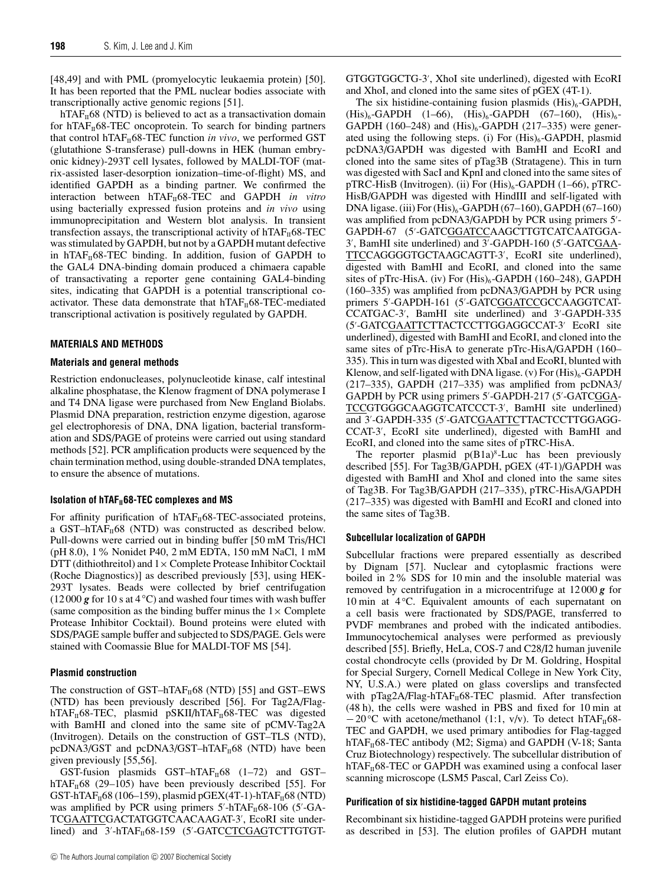[48,49] and with PML (promyelocytic leukaemia protein) [50]. It has been reported that the PML nuclear bodies associate with transcriptionally active genomic regions [51].

hTAF $_{\text{II}}$ 68 (NTD) is believed to act as a transactivation domain for  $hTAF<sub>II</sub>68-TEC$  oncoprotein. To search for binding partners that control hTAF $_{II}$ 68-TEC function *in vivo*, we performed GST (glutathione S-transferase) pull-downs in HEK (human embryonic kidney)-293T cell lysates, followed by MALDI-TOF (matrix-assisted laser-desorption ionization–time-of-flight) MS, and identified GAPDH as a binding partner. We confirmed the interaction between hTAF<sub>II</sub>68-TEC and GAPDH *in vitro* using bacterially expressed fusion proteins and *in vivo* using immunoprecipitation and Western blot analysis. In transient transfection assays, the transcriptional activity of  $hTAF<sub>II</sub>68-TEC$ was stimulated by GAPDH, but not by a GAPDH mutant defective in hTAF $_H$ 68-TEC binding. In addition, fusion of GAPDH to the GAL4 DNA-binding domain produced a chimaera capable of transactivating a reporter gene containing GAL4-binding sites, indicating that GAPDH is a potential transcriptional coactivator. These data demonstrate that  $hTAF_{II}68-TEC$ -mediated transcriptional activation is positively regulated by GAPDH.

#### **MATERIALS AND METHODS**

# **Materials and general methods**

Restriction endonucleases, polynucleotide kinase, calf intestinal alkaline phosphatase, the Klenow fragment of DNA polymerase I and T4 DNA ligase were purchased from New England Biolabs. Plasmid DNA preparation, restriction enzyme digestion, agarose gel electrophoresis of DNA, DNA ligation, bacterial transformation and SDS/PAGE of proteins were carried out using standard methods [52]. PCR amplification products were sequenced by the chain termination method, using double-stranded DNA templates, to ensure the absence of mutations.

#### **Isolation of hTAF**<sub>11</sub>68-TEC complexes and MS

For affinity purification of  $hTAF_{II}68-TEC$ -associated proteins, a GST–hTAF $_{II}$ 68 (NTD) was constructed as described below. Pull-downs were carried out in binding buffer [50 mM Tris/HCl (pH 8.0), 1% Nonidet P40, 2 mM EDTA, 150 mM NaCl, 1 mM DTT (dithiothreitol) and  $1 \times$  Complete Protease Inhibitor Cocktail (Roche Diagnostics)] as described previously [53], using HEK-293T lysates. Beads were collected by brief centrifugation (12 000 *g* for 10 s at 4 *◦*C) and washed four times with wash buffer (same composition as the binding buffer minus the  $1 \times$  Complete Protease Inhibitor Cocktail). Bound proteins were eluted with SDS/PAGE sample buffer and subjected to SDS/PAGE. Gels were stained with Coomassie Blue for MALDI-TOF MS [54].

# **Plasmid construction**

The construction of GST–hTAF $_{II}$ 68 (NTD) [55] and GST–EWS (NTD) has been previously described [56]. For Tag2A/Flag $hTAF<sub>II</sub>68-TEC$ , plasmid pSKII/hTAF<sub>II</sub>68-TEC was digested with BamHI and cloned into the same site of pCMV-Tag2A (Invitrogen). Details on the construction of GST–TLS (NTD), pcDNA3/GST and pcDNA3/GST–hTA $F_{II}$ 68 (NTD) have been given previously [55,56].

GST-fusion plasmids GST-hTAF $_H$ 68 (1–72) and GSThTAF $_{II}$ 68 (29–105) have been previously described [55]. For GST-hTAF $_{II}$ 68 (106–159), plasmid pGEX(4T-1)-hTAF $_{II}$ 68 (NTD) was amplified by PCR using primers 5'-hTAF<sub>II</sub>68-106 (5'-GA-TCGAATTCGACTATGGTCAACAAGAT-3 , EcoRI site under $lineed$ ) and  $3'-hTAF_{II}68-159$  (5'-GATCCTCGAGTCTTGTGT-

GTGGTGGCTG-3 , XhoI site underlined), digested with EcoRI and XhoI, and cloned into the same sites of pGEX (4T-1).

The six histidine-containing fusion plasmids  $(His)_{6}$ -GAPDH,  $(His)_6$ -GAPDH  $(1-66)$ ,  $(His)_6$ -GAPDH  $(67-160)$ ,  $(His)_6$ -GAPDH (160–248) and  $(His)_{6}$ -GAPDH (217–335) were generated using the following steps. (i) For  $(His)_{6}$ -GAPDH, plasmid pcDNA3/GAPDH was digested with BamHI and EcoRI and cloned into the same sites of pTag3B (Stratagene). This in turn was digested with SacI and KpnI and cloned into the same sites of  $pTRC-HisB$  (Invitrogen). (ii) For  $(His)_6$ -GAPDH (1–66),  $pTRC-$ HisB/GAPDH was digested with HindIII and self-ligated with DNA ligase. (iii) For  $(His)_6$ -GAPDH  $(67-160)$ , GAPDH  $(67-160)$ was amplified from pcDNA3/GAPDH by PCR using primers 5'-GAPDH-67 (5 -GATCGGATCCAAGCTTGTCATCAATGGA-3 , BamHI site underlined) and 3 -GAPDH-160 (5 -GATCGAA-TTCCAGGGGTGCTAAGCAGTT-3 , EcoRI site underlined), digested with BamHI and EcoRI, and cloned into the same sites of pTrc-HisA. (iv) For  $(His)_{6}$ -GAPDH (160–248), GAPDH (160–335) was amplified from pcDNA3/GAPDH by PCR using primers 5'-GAPDH-161 (5'-GATCGGATCCGCCAAGGTCAT-CCATGAC-3 , BamHI site underlined) and 3 -GAPDH-335 (5'-GATCGAATTCTTACTCCTTGGAGGCCAT-3' EcoRI site underlined), digested with BamHI and EcoRI, and cloned into the same sites of pTrc-HisA to generate pTrc-HisA/GAPDH (160– 335). This in turn was digested with XbaI and EcoRI, blunted with Klenow, and self-ligated with DNA ligase. (v) For  $(His)_6$ -GAPDH (217–335), GAPDH (217–335) was amplified from pcDNA3/ GAPDH by PCR using primers 5'-GAPDH-217 (5'-GATCGGA-TCCGTGGGCAAGGTCATCCCT-3 , BamHI site underlined) and 3'-GAPDH-335 (5'-GATCGAATTCTTACTCCTTGGAGG-CCAT-3 , EcoRI site underlined), digested with BamHI and EcoRI, and cloned into the same sites of pTRC-HisA.

The reporter plasmid  $p(B1a)^8$ -Luc has been previously described [55]. For Tag3B/GAPDH, pGEX (4T-1)/GAPDH was digested with BamHI and XhoI and cloned into the same sites of Tag3B. For Tag3B/GAPDH (217–335), pTRC-HisA/GAPDH (217–335) was digested with BamHI and EcoRI and cloned into the same sites of Tag3B.

# **Subcellular localization of GAPDH**

Subcellular fractions were prepared essentially as described by Dignam [57]. Nuclear and cytoplasmic fractions were boiled in 2% SDS for 10 min and the insoluble material was removed by centrifugation in a microcentrifuge at 12 000 *g* for 10 min at 4 *◦*C. Equivalent amounts of each supernatant on a cell basis were fractionated by SDS/PAGE, transferred to PVDF membranes and probed with the indicated antibodies. Immunocytochemical analyses were performed as previously described [55]. Briefly, HeLa, COS-7 and C28/I2 human juvenile costal chondrocyte cells (provided by Dr M. Goldring, Hospital for Special Surgery, Cornell Medical College in New York City, NY, U.S.A.) were plated on glass coverslips and transfected with pTag2A/Flag-hTAF $_{II}$ 68-TEC plasmid. After transfection (48 h), the cells were washed in PBS and fixed for 10 min at −20 °C with acetone/methanol (1:1, v/v). To detect hTAF<sub>II</sub>68-TEC and GAPDH, we used primary antibodies for Flag-tagged hTAF $_{II}$ 68-TEC antibody (M2; Sigma) and GAPDH (V-18; Santa Cruz Biotechnology) respectively. The subcellular distribution of  $hTAF<sub>II</sub>68-TEC$  or GAPDH was examined using a confocal laser scanning microscope (LSM5 Pascal, Carl Zeiss Co).

# **Purification of six histidine-tagged GAPDH mutant proteins**

Recombinant six histidine-tagged GAPDH proteins were purified as described in [53]. The elution profiles of GAPDH mutant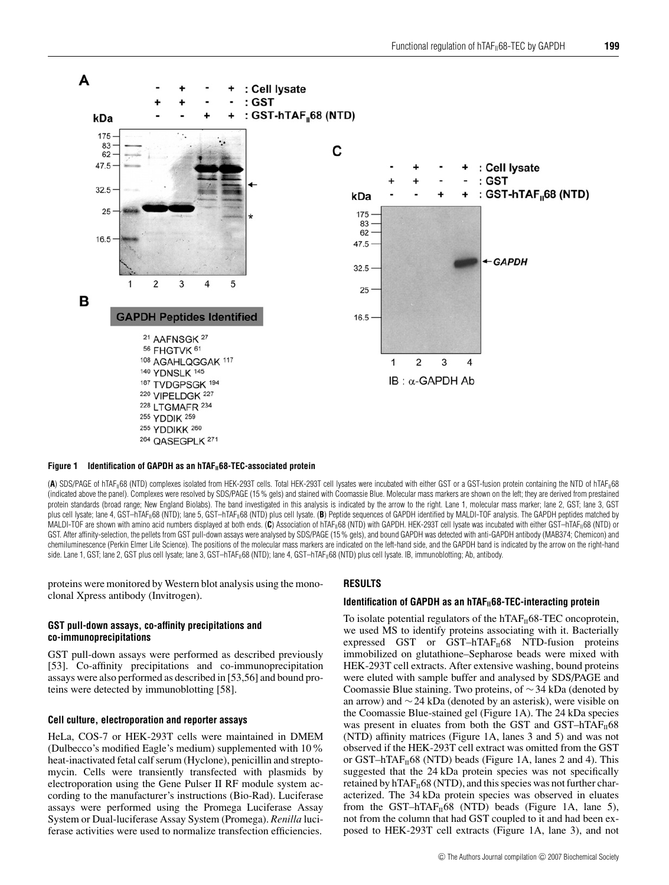

#### **Figure 1** Identification of GAPDH as an hTAF<sub>II</sub>68-TEC-associated protein

(A) SDS/PAGE of hTAF<sub>II</sub>68 (NTD) complexes isolated from HEK-293T cells. Total HEK-293T cell lysates were incubated with either GST or a GST-fusion protein containing the NTD of hTAF<sub>II</sub>68 (indicated above the panel). Complexes were resolved by SDS/PAGE (15 % gels) and stained with Coomassie Blue. Molecular mass markers are shown on the left; they are derived from prestained protein standards (broad range; New England Biolabs). The band investigated in this analysis is indicated by the arrow to the right. Lane 1, molecular mass marker; lane 2, GST; lane 3, GST plus cell lysate; lane 4, GST–hTAF<sub>II</sub>68 (NTD); lane 5, GST–hTAF<sub>II</sub>68 (NTD) plus cell lysate. (B) Peptide sequences of GAPDH identified by MALDI-TOF analysis. The GAPDH peptides matched by MALDI-TOF are shown with amino acid numbers displayed at both ends. (C) Association of hTAF<sub>II</sub>68 (NTD) with GAPDH. HEK-293T cell lysate was incubated with either GST–hTAF<sub>II</sub>68 (NTD) or GST. After affinity-selection, the pellets from GST pull-down assays were analysed by SDS/PAGE (15% gels), and bound GAPDH was detected with anti-GAPDH antibody (MAB374; Chemicon) and chemiluminescence (Perkin Elmer Life Science). The positions of the molecular mass markers are indicated on the left-hand side, and the GAPDH band is indicated by the arrow on the right-hand side. Lane 1, GST; lane 2, GST plus cell lysate; lane 3, GST–hTAF<sub>II</sub>68 (NTD); lane 4, GST–hTAF<sub>II</sub>68 (NTD) plus cell lysate. IB, immunoblotting; Ab, antibody.

proteins were monitored by Western blot analysis using the monoclonal Xpress antibody (Invitrogen).

# **GST pull-down assays, co-affinity precipitations and co-immunoprecipitations**

GST pull-down assays were performed as described previously [53]. Co-affinity precipitations and co-immunoprecipitation assays were also performed as described in [53,56] and bound proteins were detected by immunoblotting [58].

# **Cell culture, electroporation and reporter assays**

HeLa, COS-7 or HEK-293T cells were maintained in DMEM (Dulbecco's modified Eagle's medium) supplemented with 10% heat-inactivated fetal calf serum (Hyclone), penicillin and streptomycin. Cells were transiently transfected with plasmids by electroporation using the Gene Pulser II RF module system according to the manufacturer's instructions (Bio-Rad). Luciferase assays were performed using the Promega Luciferase Assay System or Dual-luciferase Assay System (Promega). *Renilla* luciferase activities were used to normalize transfection efficiencies.

#### **RESULTS**

#### **Identification of GAPDH as an hTAF**<sub>II</sub>68-TEC-interacting protein

To isolate potential regulators of the  $h_{\text{TAF}_{II}}(68\text{-TEC})$  oncoprotein, we used MS to identify proteins associating with it. Bacterially expressed GST or GST–hTAF $_{II}$ 68 NTD-fusion proteins immobilized on glutathione–Sepharose beads were mixed with HEK-293T cell extracts. After extensive washing, bound proteins were eluted with sample buffer and analysed by SDS/PAGE and Coomassie Blue staining. Two proteins, of ∼34 kDa (denoted by an arrow) and ∼24 kDa (denoted by an asterisk), were visible on the Coomassie Blue-stained gel (Figure 1A). The 24 kDa species was present in eluates from both the GST and GST–hTAF $_{II}$ 68 (NTD) affinity matrices (Figure 1A, lanes 3 and 5) and was not observed if the HEK-293T cell extract was omitted from the GST or GST–hTAF $_{II}$ 68 (NTD) beads (Figure 1A, lanes 2 and 4). This suggested that the 24 kDa protein species was not specifically retained by hTAF $_{II}$ 68 (NTD), and this species was not further characterized. The 34 kDa protein species was observed in eluates from the GST–hTAF $_{II}$ 68 (NTD) beads (Figure 1A, lane 5), not from the column that had GST coupled to it and had been exposed to HEK-293T cell extracts (Figure 1A, lane 3), and not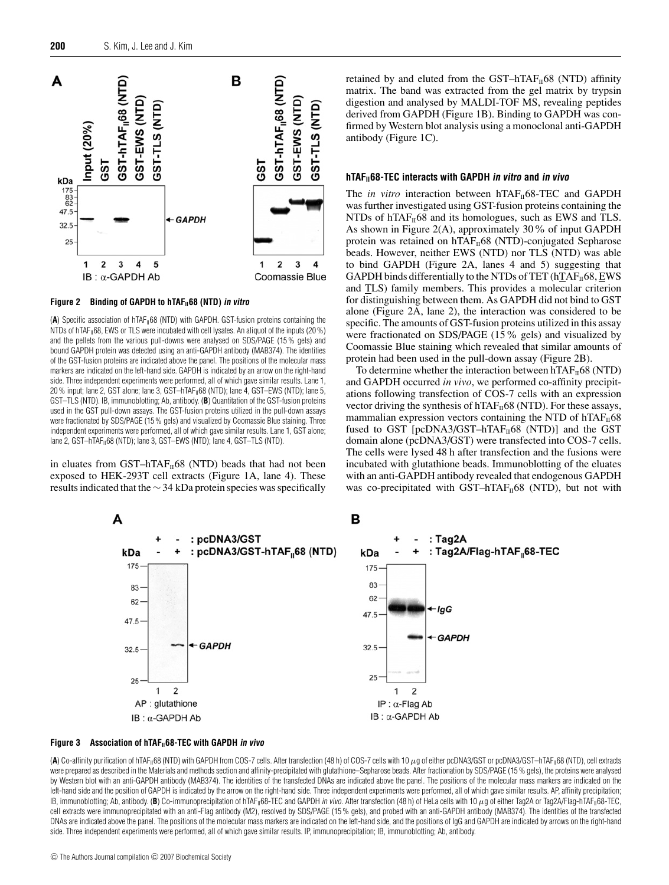

#### **Figure 2 Binding of GAPDH to hTAFII68 (NTD) in vitro**

(A) Specific association of hTAF<sub>II</sub>68 (NTD) with GAPDH. GST-fusion proteins containing the NTDs of hTAF<sub>II</sub>68, EWS or TLS were incubated with cell lysates. An aliquot of the inputs (20 %) and the pellets from the various pull-downs were analysed on SDS/PAGE (15 % gels) and bound GAPDH protein was detected using an anti-GAPDH antibody (MAB374). The identities of the GST-fusion proteins are indicated above the panel. The positions of the molecular mass markers are indicated on the left-hand side. GAPDH is indicated by an arrow on the right-hand side. Three independent experiments were performed, all of which gave similar results. Lane 1,  $20\%$  input; lane 2, GST alone; lane 3, GST-hTAF $_{\parallel}$ 68 (NTD); lane 4, GST-EWS (NTD); lane 5, GST–TLS (NTD). IB, immunoblotting; Ab, antibody. (**B**) Quantitation of the GST-fusion proteins used in the GST pull-down assays. The GST-fusion proteins utilized in the pull-down assays were fractionated by SDS/PAGE (15 % gels) and visualized by Coomassie Blue staining. Three independent experiments were performed, all of which gave similar results. Lane 1, GST alone; lane 2, GST-hTAF<sub>II</sub>68 (NTD); lane 3, GST-EWS (NTD); lane 4, GST-TLS (NTD).

in eluates from  $GST-hTAF_{II}68$  (NTD) beads that had not been exposed to HEK-293T cell extracts (Figure 1A, lane 4). These results indicated that the ∼34 kDa protein species was specifically retained by and eluted from the GST–hTAF $_{II}$ 68 (NTD) affinity matrix. The band was extracted from the gel matrix by trypsin digestion and analysed by MALDI-TOF MS, revealing peptides derived from GAPDH (Figure 1B). Binding to GAPDH was confirmed by Western blot analysis using a monoclonal anti-GAPDH antibody (Figure 1C).

#### **hTAFII68-TEC interacts with GAPDH in vitro and in vivo**

The *in vitro* interaction between hTAF $_{II}$ 68-TEC and GAPDH was further investigated using GST-fusion proteins containing the NTDs of hTAF $_{II}$ 68 and its homologues, such as EWS and TLS. As shown in Figure 2(A), approximately 30% of input GAPDH protein was retained on  $hTAF<sub>II</sub>68$  (NTD)-conjugated Sepharose beads. However, neither EWS (NTD) nor TLS (NTD) was able to bind GAPDH (Figure 2A, lanes 4 and 5) suggesting that GAPDH binds differentially to the NTDs of TET (hTAF $_{II}$ 68, EWS and TLS) family members. This provides a molecular criterion for distinguishing between them. As GAPDH did not bind to GST alone (Figure 2A, lane 2), the interaction was considered to be specific. The amounts of GST-fusion proteins utilized in this assay were fractionated on SDS/PAGE (15% gels) and visualized by Coomassie Blue staining which revealed that similar amounts of protein had been used in the pull-down assay (Figure 2B).

To determine whether the interaction between hTAF $_{II}$ 68 (NTD) and GAPDH occurred *in vivo*, we performed co-affinity precipitations following transfection of COS-7 cells with an expression vector driving the synthesis of hTAF $_H$ 68 (NTD). For these assays, mammalian expression vectors containing the NTD of  $h_{\text{TA}}F_{\text{II}}68$ fused to GST [pcDNA3/GST-hTAF $_H$ 68 (NTD)] and the GST domain alone (pcDNA3/GST) were transfected into COS-7 cells. The cells were lysed 48 h after transfection and the fusions were incubated with glutathione beads. Immunoblotting of the eluates with an anti-GAPDH antibody revealed that endogenous GAPDH was co-precipitated with GST–hTAF $_{II}$ 68 (NTD), but not with



#### **Figure 3** Association of hTAF<sub>II</sub>68-TEC with GAPDH in vivo

(A) Co-affinity purification of hTAF<sub>II</sub>68 (NTD) with GAPDH from COS-7 cells. After transfection (48 h) of COS-7 cells with 10 µg of either pcDNA3/GST or pcDNA3/GST–hTAF<sub>II</sub>68 (NTD), cell extracts were prepared as described in the Materials and methods section and affinity-precipitated with glutathione–Sepharose beads. After fractionation by SDS/PAGE (15 % gels), the proteins were analysed by Western blot with an anti-GAPDH antibody (MAB374). The identities of the transfected DNAs are indicated above the panel. The positions of the molecular mass markers are indicated on the left-hand side and the position of GAPDH is indicated by the arrow on the right-hand side. Three independent experiments were performed, all of which gave similar results. AP, affinity precipitation; IB, immunoblotting; Ab, antibody. (B) Co-immunoprecipitation of hTAF<sub>II</sub>68-TEC and GAPDH in vivo. After transfection (48 h) of HeLa cells with 10 µg of either Tag2A or Tag2A/Flag-hTAF<sub>II</sub>68-TEC, cell extracts were immunoprecipitated with an anti-Flag antibody (M2), resolved by SDS/PAGE (15% gels), and probed with an anti-GAPDH antibody (MAB374). The identities of the transfected DNAs are indicated above the panel. The positions of the molecular mass markers are indicated on the left-hand side, and the positions of IgG and GAPDH are indicated by arrows on the right-hand side. Three independent experiments were performed, all of which gave similar results. IP, immunoprecipitation; IB, immunoblotting; Ab, antibody.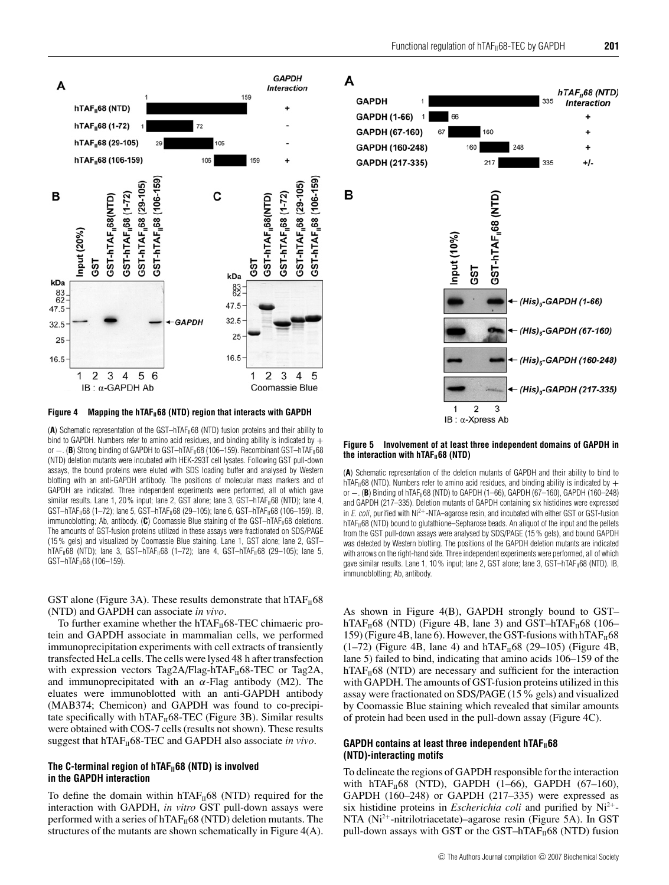





Figure 4 Mapping the hTAF<sub>11</sub>68 (NTD) region that interacts with GAPDH

(A) Schematic representation of the GST-hTAF<sub>II</sub>68 (NTD) fusion proteins and their ability to bind to GAPDH. Numbers refer to amino acid residues, and binding ability is indicated by + or  $-$ . (**B**) Strong binding of GAPDH to GST-hTAF<sub>II</sub>68 (106-159). Recombinant GST-hTAF<sub>II</sub>68 (NTD) deletion mutants were incubated with HEK-293T cell lysates. Following GST pull-down assays, the bound proteins were eluted with SDS loading buffer and analysed by Western blotting with an anti-GAPDH antibody. The positions of molecular mass markers and of GAPDH are indicated. Three independent experiments were performed, all of which gave similar results. Lane 1, 20% input; lane 2, GST alone; lane 3, GST-hTAF $_{11}$ 68 (NTD); lane 4,  $GST - hTAF_{II}68$  (1-72); lane 5,  $GST - hTAF_{II}68$  (29-105); lane 6,  $GST - hTAF_{II}68$  (106-159). IB, immunoblotting; Ab, antibody. (C) Coomassie Blue staining of the GST-hTAF<sub>II</sub>68 deletions. The amounts of GST-fusion proteins utilized in these assays were fractionated on SDS/PAGE (15 % gels) and visualized by Coomassie Blue staining. Lane 1, GST alone; lane 2, GST–  $hTAF_{II}68$  (NTD); lane 3, GST-hTAF<sub>II</sub>68 (1-72); lane 4, GST-hTAF<sub>II</sub>68 (29-105); lane 5, GST-hTAF<sub>II</sub>68 (106-159).

GST alone (Figure 3A). These results demonstrate that  $hTAF_{II}68$ (NTD) and GAPDH can associate *in vivo*.

To further examine whether the  $hTAF_{II}68-TEC$  chimaeric protein and GAPDH associate in mammalian cells, we performed immunoprecipitation experiments with cell extracts of transiently transfected HeLa cells. The cells were lysed 48 h after transfection with expression vectors Tag2A/Flag-hTAF $_H$ 68-TEC or Tag2A, and immunoprecipitated with an  $\alpha$ -Flag antibody (M2). The eluates were immunoblotted with an anti-GAPDH antibody (MAB374; Chemicon) and GAPDH was found to co-precipitate specifically with  $hTAF_{II}68-TEC$  (Figure 3B). Similar results were obtained with COS-7 cells (results not shown). These results suggest that hTAF<sub>II</sub>68-TEC and GAPDH also associate *in vivo*.

# The C-terminal region of hTAF<sub>II</sub>68 (NTD) is involved **in the GAPDH interaction**

To define the domain within  $hTAF<sub>II</sub>68$  (NTD) required for the interaction with GAPDH, *in vitro* GST pull-down assays were performed with a series of  $hTAF_{II}68$  (NTD) deletion mutants. The structures of the mutants are shown schematically in Figure 4(A).

# A

B



#### **Figure 5 Involvement of at least three independent domains of GAPDH in** the interaction with hTAF<sub>II</sub>68 (NTD)

(**A**) Schematic representation of the deletion mutants of GAPDH and their ability to bind to hTAF<sub>II</sub>68 (NTD). Numbers refer to amino acid residues, and binding ability is indicated by  $+$ or −. (B) Binding of hTAF<sub>II</sub>68 (NTD) to GAPDH (1–66), GAPDH (67–160), GAPDH (160–248) and GAPDH (217–335). Deletion mutants of GAPDH containing six histidines were expressed in  $E.$  coli, purified with Ni<sup>2+</sup>-NTA–agarose resin, and incubated with either GST or GST-fusion hTAF<sub>II</sub>68 (NTD) bound to glutathione–Sepharose beads. An aliquot of the input and the pellets from the GST pull-down assays were analysed by SDS/PAGE (15 % gels), and bound GAPDH was detected by Western blotting. The positions of the GAPDH deletion mutants are indicated with arrows on the right-hand side. Three independent experiments were performed, all of which gave similar results. Lane 1, 10% input; lane 2, GST alone; lane 3, GST-hTAF<sub>II</sub>68 (NTD). IB, immunoblotting; Ab, antibody.

As shown in Figure 4(B), GAPDH strongly bound to GST– hTAF $_{II}$ 68 (NTD) (Figure 4B, lane 3) and GST-hTAF $_{II}$ 68 (106– 159) (Figure 4B, lane 6). However, the GST-fusions with  $hTAF<sub>II</sub>68$  $(1-72)$  (Figure 4B, lane 4) and hTAF<sub>II</sub>68 (29–105) (Figure 4B, lane 5) failed to bind, indicating that amino acids 106–159 of the  $hTAF<sub>II</sub>68$  (NTD) are necessary and sufficient for the interaction with GAPDH. The amounts of GST-fusion proteins utilized in this assay were fractionated on SDS/PAGE (15% gels) and visualized by Coomassie Blue staining which revealed that similar amounts of protein had been used in the pull-down assay (Figure 4C).

# **GAPDH contains at least three independent hTAF**<sup>168</sup> **(NTD)-interacting motifs**

To delineate the regions of GAPDH responsible for the interaction with hTAF $_{II}$ 68 (NTD), GAPDH (1–66), GAPDH (67–160), GAPDH (160–248) or GAPDH (217–335) were expressed as six histidine proteins in *Escherichia coli* and purified by Ni<sup>2+</sup>-NTA (Ni<sup>2+</sup>-nitrilotriacetate)–agarose resin (Figure 5A). In GST pull-down assays with GST or the GST-hTA $F_{II}$ 68 (NTD) fusion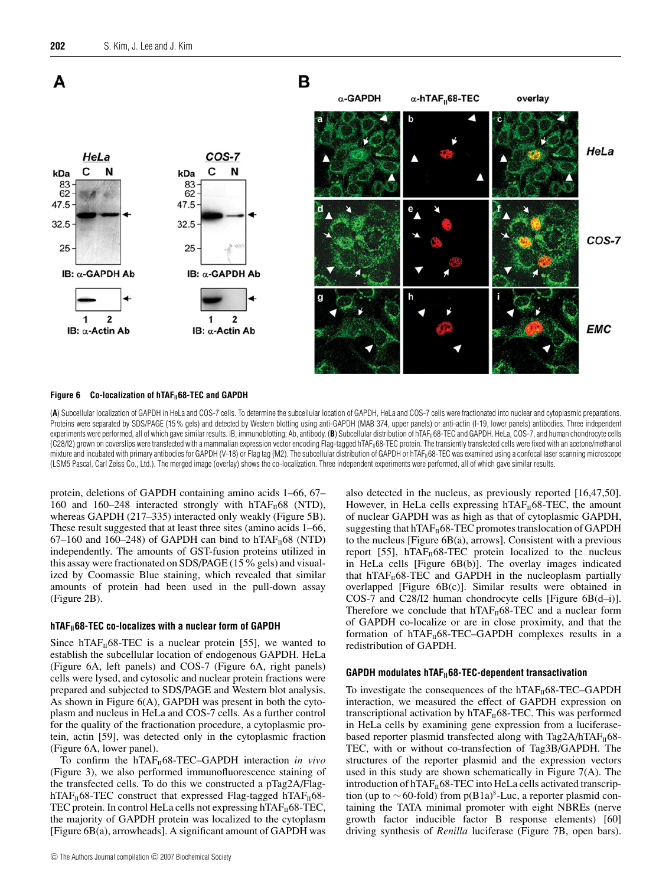

#### Figure 6 Co-localization of hTAF<sub>11</sub>68-TEC and GAPDH

(**A**) Subcellular localization of GAPDH in HeLa and COS-7 cells. To determine the subcellular location of GAPDH, HeLa and COS-7 cells were fractionated into nuclear and cytoplasmic preparations. Proteins were separated by SDS/PAGE (15 % gels) and detected by Western blotting using anti-GAPDH (MAB 374, upper panels) or anti-actin (I-19, lower panels) antibodies. Three independent experiments were performed, all of which gave similar results. IB, immunoblotting; Ab, antibody. (B) Subcellular distribution of hTAF<sub>II</sub>68-TEC and GAPDH. HeLa, COS-7, and human chondrocyte cells (C28/I2) grown on coverslips were transfected with a mammalian expression vector encoding Flag-tagged hTAF<sub>II</sub>68-TEC protein. The transiently transfected cells were fixed with an acetone/methanol mixture and incubated with primary antibodies for GAPDH (V-18) or Flag tag (M2). The subcellular distribution of GAPDH or hTAF<sub>II</sub>68-TEC was examined using a confocal laser scanning microscope (LSM5 Pascal, Carl Zeiss Co., Ltd.). The merged image (overlay) shows the co-localization. Three independent experiments were performed, all of which gave similar results.

protein, deletions of GAPDH containing amino acids 1–66, 67– 160 and 160–248 interacted strongly with  $hTAF<sub>II</sub>68$  (NTD), whereas GAPDH (217–335) interacted only weakly (Figure 5B). These result suggested that at least three sites (amino acids 1–66, 67–160 and 160–248) of GAPDH can bind to hTAF<sub>II</sub>68 (NTD) independently. The amounts of GST-fusion proteins utilized in this assay were fractionated on  $SDS/PAGE$  (15% gels) and visualized by Coomassie Blue staining, which revealed that similar amounts of protein had been used in the pull-down assay (Figure 2B).

#### hTAF<sub>11</sub>68-TEC co-localizes with a nuclear form of GAPDH

Since hTAF $<sub>II</sub>68-TEC$  is a nuclear protein [55], we wanted to</sub> establish the subcellular location of endogenous GAPDH. HeLa (Figure 6A, left panels) and COS-7 (Figure 6A, right panels) cells were lysed, and cytosolic and nuclear protein fractions were prepared and subjected to SDS/PAGE and Western blot analysis. As shown in Figure 6(A), GAPDH was present in both the cytoplasm and nucleus in HeLa and COS-7 cells. As a further control for the quality of the fractionation procedure, a cytoplasmic protein, actin [59], was detected only in the cytoplasmic fraction (Figure 6A, lower panel).

To confirm the hTAF<sub>II</sub>68-TEC–GAPDH interaction *in vivo* (Figure 3), we also performed immunofluorescence staining of the transfected cells. To do this we constructed a pTag2A/FlaghTAF $_{II}$ 68-TEC construct that expressed Flag-tagged hTAF $_{II}$ 68-TEC protein. In control HeLa cells not expressing  $hTAF<sub>II</sub>68-TEC$ , the majority of GAPDH protein was localized to the cytoplasm [Figure 6B(a), arrowheads]. A significant amount of GAPDH was

also detected in the nucleus, as previously reported [16,47,50]. However, in HeLa cells expressing hTAF $_H$ 68-TEC, the amount of nuclear GAPDH was as high as that of cytoplasmic GAPDH, suggesting that  $h\text{TAF}_{\text{II}}$ 68-TEC promotes translocation of GAPDH to the nucleus [Figure 6B(a), arrows]. Consistent with a previous report [55],  $hTAF<sub>II</sub>68-TEC$  protein localized to the nucleus in HeLa cells [Figure 6B(b)]. The overlay images indicated that hTAF $_{II}$ 68-TEC and GAPDH in the nucleoplasm partially overlapped [Figure 6B(c)]. Similar results were obtained in COS-7 and C28/I2 human chondrocyte cells [Figure 6B(d–i)]. Therefore we conclude that  $hTAF_{II}68-TEC$  and a nuclear form of GAPDH co-localize or are in close proximity, and that the formation of  $hTAF<sub>II</sub>68-TEC-GAPDH$  complexes results in a redistribution of GAPDH.

#### GAPDH modulates hTAF<sub>II</sub>68-TEC-dependent transactivation

To investigate the consequences of the  $h_{\text{TAF}_{II}}(68\text{-TEC}-\text{GAPDH})$ interaction, we measured the effect of GAPDH expression on transcriptional activation by  $hTAF_{II}68-TEC$ . This was performed in HeLa cells by examining gene expression from a luciferasebased reporter plasmid transfected along with Tag2A/hTAF $_{II}$ 68-TEC, with or without co-transfection of Tag3B/GAPDH. The structures of the reporter plasmid and the expression vectors used in this study are shown schematically in Figure 7(A). The introduction of  $hTAF_{II}68-TEC$  into HeLa cells activated transcription (up to ∼60-fold) from p(B1a)<sup>8</sup>-Luc, a reporter plasmid containing the TATA minimal promoter with eight NBREs (nerve growth factor inducible factor B response elements) [60] driving synthesis of *Renilla* luciferase (Figure 7B, open bars).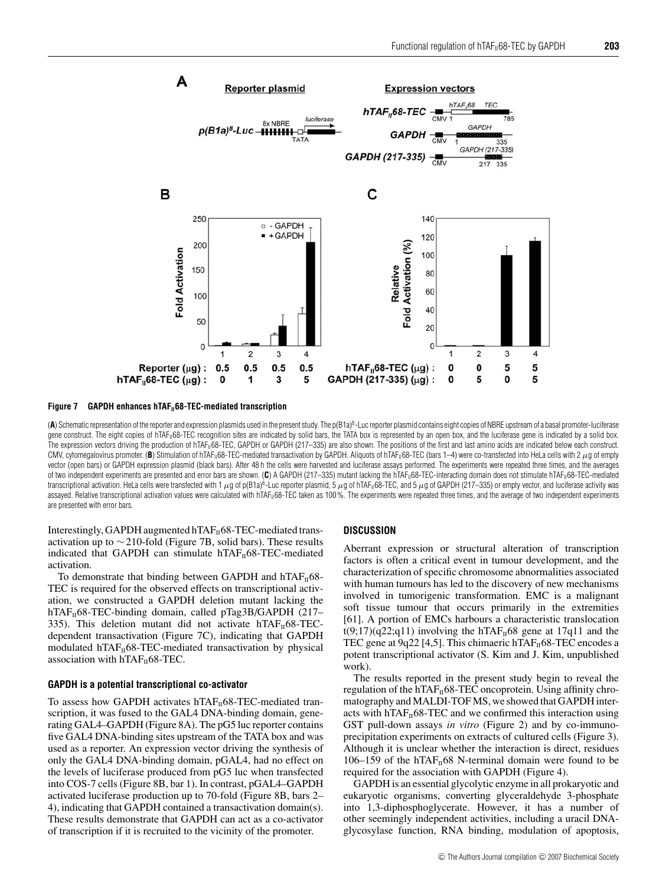

Figure 7 GAPDH enhances hTAF<sub>II</sub>68-TEC-mediated transcription

(A) Schematic representation of the reporter and expression plasmids used in the present study. The p(B1a)<sup>8</sup>-Luc reporter plasmid contains eight copies of NBRE upstream of a basal promoter-luciferase gene construct. The eight copies of hTAF<sub>II</sub>68-TEC recognition sites are indicated by solid bars, the TATA box is represented by an open box, and the luciferase gene is indicated by a solid box. The expression vectors driving the production of hTAF<sub>II</sub>68-TEC, GAPDH or GAPDH (217-335) are also shown. The positions of the first and last amino acids are indicated below each construct. CMV, cytomegalovirus promoter. (B) Stimulation of hTAF<sub>II</sub>68-TEC-mediated transactivation by GAPDH. Aliquots of hTAF<sub>II</sub>68-TEC (bars 1-4) were co-transfected into HeLa cells with 2 µg of empty vector (open bars) or GAPDH expression plasmid (black bars). After 48 h the cells were harvested and luciferase assays performed. The experiments were repeated three times, and the averages of two independent experiments are presented and error bars are shown. (C) A GAPDH (217–335) mutant lacking the hTAF<sub>II68</sub>-TEC-interacting domain does not stimulate hTAF<sub>II68</sub>-TEC-mediated transcriptional activation. HeLa cells were transfected with 1  $\mu$ g of p(B1a)<sup>8</sup>-Luc reporter plasmid, 5  $\mu$ g of hTAF<sub>1I</sub>68-TEC, and 5  $\mu$ g of GAPDH (217–335) or empty vector, and luciferase activity was assayed. Relative transcriptional activation values were calculated with hTAF<sub>II</sub>68-TEC taken as 100%. The experiments were repeated three times, and the average of two independent experiments are presented with error bars.

Interestingly, GAPDH augmented  $hTAF_{II}68-TEC$ -mediated transactivation up to  $\sim$  210-fold (Figure 7B, solid bars). These results indicated that GAPDH can stimulate  $hTAF<sub>II</sub>68-TEC$ -mediated activation.

To demonstrate that binding between GAPDH and  $hTAF_{II}68$ -TEC is required for the observed effects on transcriptional activation, we constructed a GAPDH deletion mutant lacking the hTAF $_{II}$ 68-TEC-binding domain, called pTag3B/GAPDH (217– 335). This deletion mutant did not activate  $hTAF<sub>II</sub>68-TEC$ dependent transactivation (Figure 7C), indicating that GAPDH modulated hTAF $_H$ 68-TEC-mediated transactivation by physical association with  $hTAF<sub>II</sub>68-TEC$ .

# **GAPDH is a potential transcriptional co-activator**

To assess how GAPDH activates hTAF $_H$ 68-TEC-mediated transcription, it was fused to the GAL4 DNA-binding domain, generating GAL4–GAPDH (Figure 8A). The pG5 luc reporter contains five GAL4 DNA-binding sites upstream of the TATA box and was used as a reporter. An expression vector driving the synthesis of only the GAL4 DNA-binding domain, pGAL4, had no effect on the levels of luciferase produced from pG5 luc when transfected into COS-7 cells (Figure 8B, bar 1). In contrast, pGAL4–GAPDH activated luciferase production up to 70-fold (Figure 8B, bars 2– 4), indicating that GAPDH contained a transactivation domain(s). These results demonstrate that GAPDH can act as a co-activator of transcription if it is recruited to the vicinity of the promoter.

#### **DISCUSSION**

Aberrant expression or structural alteration of transcription factors is often a critical event in tumour development, and the characterization of specific chromosome abnormalities associated with human tumours has led to the discovery of new mechanisms involved in tumorigenic transformation. EMC is a malignant soft tissue tumour that occurs primarily in the extremities [61]. A portion of EMCs harbours a characteristic translocation  $t(9;17)(q22;q11)$  involving the hTAF<sub>II</sub>68 gene at 17q11 and the TEC gene at 9q22 [4,5]. This chimaeric hTAF $_{II}$ 68-TEC encodes a potent transcriptional activator (S. Kim and J. Kim, unpublished work).

The results reported in the present study begin to reveal the regulation of the hTAF $_H$ 68-TEC oncoprotein. Using affinity chromatography and MALDI-TOF MS, we showed that GAPDH interacts with  $hTAF<sub>II</sub>68-TEC$  and we confirmed this interaction using GST pull-down assays *in vitro* (Figure 2) and by co-immunoprecipitation experiments on extracts of cultured cells (Figure 3). Although it is unclear whether the interaction is direct, residues 106–159 of the hTAF $_{II}$ 68 N-terminal domain were found to be required for the association with GAPDH (Figure 4).

GAPDH is an essential glycolytic enzyme in all prokaryotic and eukaryotic organisms, converting glyceraldehyde 3-phosphate into 1,3-diphosphoglycerate. However, it has a number of other seemingly independent activities, including a uracil DNAglycosylase function, RNA binding, modulation of apoptosis,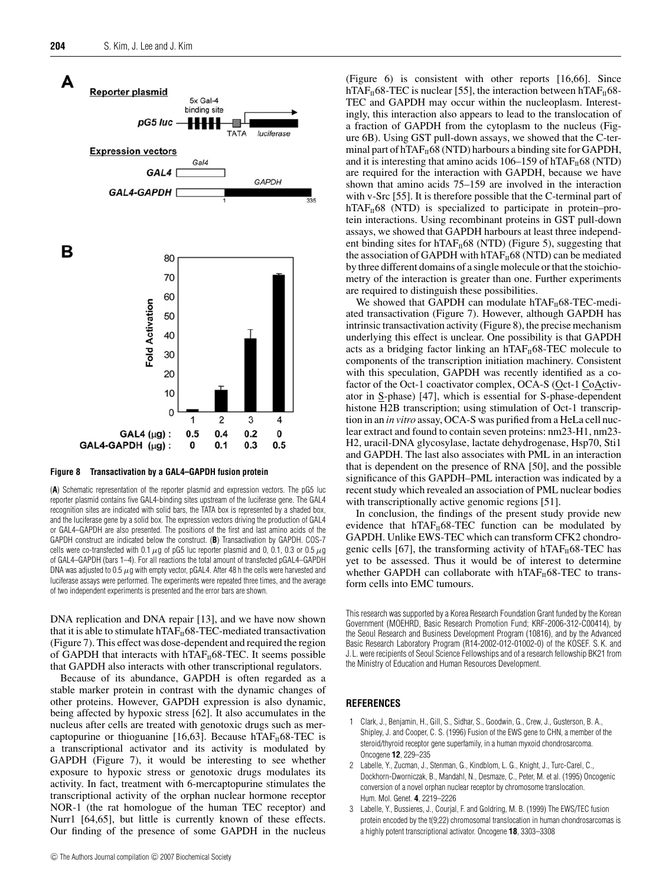

#### **Figure 8 Transactivation by a GAL4–GAPDH fusion protein**

(**A**) Schematic representation of the reporter plasmid and expression vectors. The pG5 luc reporter plasmid contains five GAL4-binding sites upstream of the luciferase gene. The GAL4 recognition sites are indicated with solid bars, the TATA box is represented by a shaded box, and the luciferase gene by a solid box. The expression vectors driving the production of GAL4 or GAL4–GAPDH are also presented. The positions of the first and last amino acids of the GAPDH construct are indicated below the construct. (**B**) Transactivation by GAPDH. COS-7 cells were co-transfected with 0.1  $\mu$ g of pG5 luc reporter plasmid and 0, 0.1, 0.3 or 0.5  $\mu$ g of GAL4–GAPDH (bars 1–4). For all reactions the total amount of transfected pGAL4–GAPDH DNA was adjusted to 0.5  $\mu$ g with empty vector, pGAL4. After 48 h the cells were harvested and luciferase assays were performed. The experiments were repeated three times, and the average of two independent experiments is presented and the error bars are shown.

DNA replication and DNA repair [13], and we have now shown that it is able to stimulate  $hTAF_{II}68-TEC$ -mediated transactivation (Figure 7). This effect was dose-dependent and required the region of GAPDH that interacts with  $hTAF_{II}68-TEC$ . It seems possible that GAPDH also interacts with other transcriptional regulators.

Because of its abundance, GAPDH is often regarded as a stable marker protein in contrast with the dynamic changes of other proteins. However, GAPDH expression is also dynamic, being affected by hypoxic stress [62]. It also accumulates in the nucleus after cells are treated with genotoxic drugs such as mercaptopurine or thioguanine [16,63]. Because hTAF $_H$ 68-TEC is a transcriptional activator and its activity is modulated by GAPDH (Figure 7), it would be interesting to see whether exposure to hypoxic stress or genotoxic drugs modulates its activity. In fact, treatment with 6-mercaptopurine stimulates the transcriptional activity of the orphan nuclear hormone receptor NOR-1 (the rat homologue of the human TEC receptor) and Nurr1 [64,65], but little is currently known of these effects. Our finding of the presence of some GAPDH in the nucleus

(Figure 6) is consistent with other reports [16,66]. Since hTAF $_{II}$ 68-TEC is nuclear [55], the interaction between hTAF $_{II}$ 68-TEC and GAPDH may occur within the nucleoplasm. Interestingly, this interaction also appears to lead to the translocation of a fraction of GAPDH from the cytoplasm to the nucleus (Figure 6B). Using GST pull-down assays, we showed that the C-terminal part of hTAF $_{II}$ 68 (NTD) harbours a binding site for GAPDH, and it is interesting that amino acids 106–159 of hTAF $_{II}$ 68 (NTD) are required for the interaction with GAPDH, because we have shown that amino acids 75–159 are involved in the interaction with v-Src [55]. It is therefore possible that the C-terminal part of  $hTAF<sub>II</sub>68$  (NTD) is specialized to participate in protein–protein interactions. Using recombinant proteins in GST pull-down assays, we showed that GAPDH harbours at least three independent binding sites for  $hTAF<sub>II</sub>68 (NTD)$  (Figure 5), suggesting that the association of GAPDH with hTAF $_H$ 68 (NTD) can be mediated by three different domains of a single molecule or that the stoichiometry of the interaction is greater than one. Further experiments are required to distinguish these possibilities.

We showed that GAPDH can modulate hTA $F_{II}$ 68-TEC-mediated transactivation (Figure 7). However, although GAPDH has intrinsic transactivation activity (Figure 8), the precise mechanism underlying this effect is unclear. One possibility is that GAPDH acts as a bridging factor linking an  $hTAF<sub>II</sub>68-TEC$  molecule to components of the transcription initiation machinery. Consistent with this speculation, GAPDH was recently identified as a cofactor of the Oct-1 coactivator complex, OCA-S (Oct-1 CoActivator in S-phase) [47], which is essential for S-phase-dependent histone H2B transcription; using stimulation of Oct-1 transcription in an *in vitro* assay, OCA-S was purified from a HeLa cell nuclear extract and found to contain seven proteins: nm23-H1, nm23- H2, uracil-DNA glycosylase, lactate dehydrogenase, Hsp70, Sti1 and GAPDH. The last also associates with PML in an interaction that is dependent on the presence of RNA [50], and the possible significance of this GAPDH–PML interaction was indicated by a recent study which revealed an association of PML nuclear bodies with transcriptionally active genomic regions [51].

In conclusion, the findings of the present study provide new evidence that  $hTAF<sub>II</sub>68-TEC$  function can be modulated by GAPDH. Unlike EWS-TEC which can transform CFK2 chondrogenic cells [67], the transforming activity of  $hTAF<sub>II</sub>68-TEC$  has yet to be assessed. Thus it would be of interest to determine whether GAPDH can collaborate with  $hTAF<sub>II</sub>68-TEC$  to transform cells into EMC tumours.

This research was supported by a Korea Research Foundation Grant funded by the Korean Government (MOEHRD, Basic Research Promotion Fund; KRF-2006-312-C00414), by the Seoul Research and Business Development Program (10816), and by the Advanced Basic Research Laboratory Program (R14-2002-012-01002-0) of the KOSEF. S. K. and J. L. were recipients of Seoul Science Fellowships and of a research fellowship BK21 from the Ministry of Education and Human Resources Development.

#### **REFERENCES**

- 1 Clark, J., Benjamin, H., Gill, S., Sidhar, S., Goodwin, G., Crew, J., Gusterson, B. A., Shipley, J. and Cooper, C. S. (1996) Fusion of the EWS gene to CHN, a member of the steroid/thyroid receptor gene superfamily, in a human myxoid chondrosarcoma. Oncogene **12**, 229–235
- 2 Labelle, Y., Zucman, J., Stenman, G., Kindblom, L. G., Knight, J., Turc-Carel, C., Dockhorn-Dworniczak, B., Mandahl, N., Desmaze, C., Peter, M. et al. (1995) Oncogenic conversion of a novel orphan nuclear receptor by chromosome translocation. Hum. Mol. Genet. **4**, 2219–2226
- 3 Labelle, Y., Bussieres, J., Courjal, F. and Goldring, M. B. (1999) The EWS/TEC fusion protein encoded by the t(9;22) chromosomal translocation in human chondrosarcomas is a highly potent transcriptional activator. Oncogene **18**, 3303–3308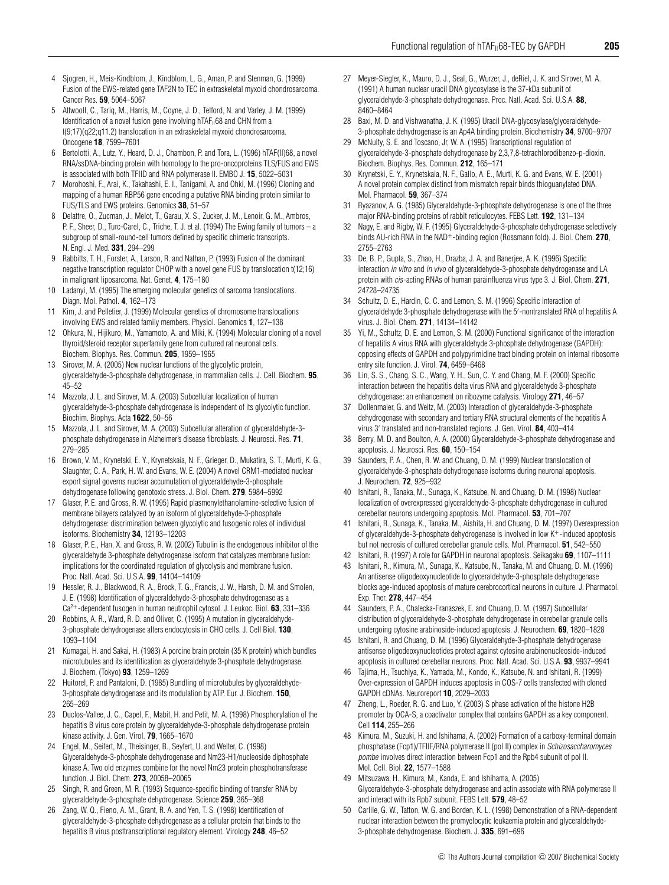- 4 Sjogren, H., Meis-Kindblom, J., Kindblom, L. G., Aman, P. and Stenman, G. (1999) Fusion of the EWS-related gene TAF2N to TEC in extraskeletal myxoid chondrosarcoma. Cancer Res. **59**, 5064–5067
- 5 Attwooll, C., Tariq, M., Harris, M., Coyne, J. D., Telford, N. and Varley, J. M. (1999) Identification of a novel fusion gene involving  $hTAF<sub>II</sub>68$  and CHN from a t(9;17)(q22;q11.2) translocation in an extraskeletal myxoid chondrosarcoma. Oncogene **18**, 7599–7601
- 6 Bertolotti, A., Lutz, Y., Heard, D. J., Chambon, P. and Tora, L. (1996) hTAF(II)68, a novel RNA/ssDNA-binding protein with homology to the pro-oncoproteins TLS/FUS and EWS is associated with both TFIID and RNA polymerase II. EMBO J. **15**, 5022–5031
- 7 Morohoshi, F., Arai, K., Takahashi, E. I., Tanigami, A. and Ohki, M. (1996) Cloning and mapping of a human RBP56 gene encoding a putative RNA binding protein similar to FUS/TLS and EWS proteins. Genomics **38**, 51–57
- 8 Delattre, O., Zucman, J., Melot, T., Garau, X. S., Zucker, J. M., Lenoir, G. M., Ambros, P. F., Sheer, D., Turc-Carel, C., Triche, T. J. et al. (1994) The Ewing family of tumors – a subgroup of small-round-cell tumors defined by specific chimeric transcripts. N. Engl. J. Med. **331**, 294–299
- 9 Rabbitts, T. H., Forster, A., Larson, R. and Nathan, P. (1993) Fusion of the dominant negative transcription regulator CHOP with a novel gene FUS by translocation t(12;16) in malignant liposarcoma. Nat. Genet. **4**, 175–180
- 10 Ladanyi, M. (1995) The emerging molecular genetics of sarcoma translocations. Diagn. Mol. Pathol. **4**, 162–173
- 11 Kim, J. and Pelletier, J. (1999) Molecular genetics of chromosome translocations involving EWS and related family members. Physiol. Genomics **1**, 127–138
- 12 Ohkura, N., Hijikuro, M., Yamamoto, A. and Miki, K. (1994) Molecular cloning of a novel thyroid/steroid receptor superfamily gene from cultured rat neuronal cells. Biochem. Biophys. Res. Commun. **205**, 1959–1965
- 13 Sirover, M. A. (2005) New nuclear functions of the glycolytic protein, glyceraldehyde-3-phosphate dehydrogenase, in mammalian cells. J. Cell. Biochem. **95**, 45–52
- 14 Mazzola, J. L. and Sirover, M. A. (2003) Subcellular localization of human glyceraldehyde-3-phosphate dehydrogenase is independent of its glycolytic function. Biochim. Biophys. Acta **1622**, 50–56
- 15 Mazzola, J. L. and Sirover, M. A. (2003) Subcellular alteration of glyceraldehyde-3 phosphate dehydrogenase in Alzheimer's disease fibroblasts. J. Neurosci. Res. **71**, 279–285
- 16 Brown, V. M., Krynetski, E. Y., Krynetskaia, N. F., Grieger, D., Mukatira, S. T., Murti, K. G., Slaughter, C. A., Park, H. W. and Evans, W. E. (2004) A novel CRM1-mediated nuclear export signal governs nuclear accumulation of glyceraldehyde-3-phosphate dehydrogenase following genotoxic stress. J. Biol. Chem. **279**, 5984–5992
- 17 Glaser, P. E. and Gross, R. W. (1995) Rapid plasmenylethanolamine-selective fusion of membrane bilayers catalyzed by an isoform of glyceraldehyde-3-phosphate dehydrogenase: discrimination between glycolytic and fusogenic roles of individual isoforms. Biochemistry **34**, 12193–12203
- 18 Glaser, P. E., Han, X. and Gross, R. W. (2002) Tubulin is the endogenous inhibitor of the glyceraldehyde 3-phosphate dehydrogenase isoform that catalyzes membrane fusion: implications for the coordinated regulation of glycolysis and membrane fusion. Proc. Natl. Acad. Sci. U.S.A. **99**, 14104–14109
- 19 Hessler, R. J., Blackwood, R. A., Brock, T. G., Francis, J. W., Harsh, D. M. and Smolen, J. E. (1998) Identification of glyceraldehyde-3-phosphate dehydrogenase as a Ca2+-dependent fusogen in human neutrophil cytosol. J. Leukoc. Biol. **63**, 331–336
- 20 Robbins, A. R., Ward, R. D. and Oliver, C. (1995) A mutation in glyceraldehyde-3-phosphate dehydrogenase alters endocytosis in CHO cells. J. Cell Biol. **130**, 1093–1104
- 21 Kumagai, H. and Sakai, H. (1983) A porcine brain protein (35 K protein) which bundles microtubules and its identification as glyceraldehyde 3-phosphate dehydrogenase. J. Biochem. (Tokyo) **93**, 1259–1269
- 22 Huitorel, P. and Pantaloni, D. (1985) Bundling of microtubules by glyceraldehyde-3-phosphate dehydrogenase and its modulation by ATP. Eur. J. Biochem. **150**, 265–269
- 23 Duclos-Vallee, J. C., Capel, F., Mabit, H. and Petit, M. A. (1998) Phosphorylation of the hepatitis B virus core protein by glyceraldehyde-3-phosphate dehydrogenase protein kinase activity. J. Gen. Virol. **79**, 1665–1670
- 24 Engel, M., Seifert, M., Theisinger, B., Seyfert, U. and Welter, C. (1998) Glyceraldehyde-3-phosphate dehydrogenase and Nm23-H1/nucleoside diphosphate kinase A. Two old enzymes combine for the novel Nm23 protein phosphotransferase function. J. Biol. Chem. **273**, 20058–20065
- 25 Singh, R. and Green, M. R. (1993) Sequence-specific binding of transfer RNA by glyceraldehyde-3-phosphate dehydrogenase. Science **259**, 365–368
- 26 Zang, W. Q., Fieno, A. M., Grant, R. A. and Yen, T. S. (1998) Identification of glyceraldehyde-3-phosphate dehydrogenase as a cellular protein that binds to the hepatitis B virus posttranscriptional regulatory element. Virology **248**, 46–52
- 27 Meyer-Siegler, K., Mauro, D. J., Seal, G., Wurzer, J., deRiel, J. K. and Sirover, M. A. (1991) A human nuclear uracil DNA glycosylase is the 37-kDa subunit of glyceraldehyde-3-phosphate dehydrogenase. Proc. Natl. Acad. Sci. U.S.A. **88**, 8460–8464
- 28 Baxi, M. D. and Vishwanatha, J. K. (1995) Uracil DNA-glycosylase/glyceraldehyde-3-phosphate dehydrogenase is an Ap4A binding protein. Biochemistry **34**, 9700–9707
- 29 McNulty, S. E. and Toscano, Jr, W. A. (1995) Transcriptional regulation of glyceraldehyde-3-phosphate dehydrogenase by 2,3,7,8-tetrachlorodibenzo-p-dioxin. Biochem. Biophys. Res. Commun. **212**, 165–171
- 30 Krynetski, E. Y., Krynetskaia, N. F., Gallo, A. E., Murti, K. G. and Evans, W. E. (2001) A novel protein complex distinct from mismatch repair binds thioguanylated DNA. Mol. Pharmacol. **59**, 367–374
- 31 Ryazanov, A. G. (1985) Glyceraldehyde-3-phosphate dehydrogenase is one of the three major RNA-binding proteins of rabbit reticulocytes. FEBS Lett. **192**, 131–134
- 32 Nagy, E. and Rigby, W. F. (1995) Glyceraldehyde-3-phosphate dehydrogenase selectively binds AU-rich RNA in the NAD+-binding region (Rossmann fold). J. Biol. Chem. **270**, 2755–2763
- 33 De, B. P., Gupta, S., Zhao, H., Drazba, J. A. and Banerjee, A. K. (1996) Specific interaction in vitro and in vivo of glyceraldehyde-3-phosphate dehydrogenase and LA protein with cis-acting RNAs of human parainfluenza virus type 3. J. Biol. Chem. **271**, 24728–24735
- 34 Schultz, D. E., Hardin, C. C. and Lemon, S. M. (1996) Specific interaction of glyceraldehyde 3-phosphate dehydrogenase with the 5 -nontranslated RNA of hepatitis A virus. J. Biol. Chem. **271**, 14134–14142
- 35 Yi, M., Schultz, D. E. and Lemon, S. M. (2000) Functional significance of the interaction of hepatitis A virus RNA with glyceraldehyde 3-phosphate dehydrogenase (GAPDH): opposing effects of GAPDH and polypyrimidine tract binding protein on internal ribosome entry site function. J. Virol. **74**, 6459–6468
- 36 Lin, S. S., Chang, S. C., Wang, Y. H., Sun, C. Y. and Chang, M. F. (2000) Specific interaction between the hepatitis delta virus RNA and glyceraldehyde 3-phosphate dehydrogenase: an enhancement on ribozyme catalysis. Virology **271**, 46–57
- Dollenmaier, G. and Weitz, M. (2003) Interaction of glyceraldehyde-3-phosphate dehydrogenase with secondary and tertiary RNA structural elements of the hepatitis A virus 3' translated and non-translated regions. J. Gen. Virol. **84**, 403-414
- 38 Berry, M. D. and Boulton, A. A. (2000) Glyceraldehyde-3-phosphate dehydrogenase and apoptosis. J. Neurosci. Res. **60**, 150–154
- 39 Saunders, P. A., Chen, R. W. and Chuang, D. M. (1999) Nuclear translocation of glyceraldehyde-3-phosphate dehydrogenase isoforms during neuronal apoptosis. J. Neurochem. **72**, 925–932
- 40 Ishitani, R., Tanaka, M., Sunaga, K., Katsube, N. and Chuang, D. M. (1998) Nuclear localization of overexpressed glyceraldehyde-3-phosphate dehydrogenase in cultured cerebellar neurons undergoing apoptosis. Mol. Pharmacol. **53**, 701–707
- 41 Ishitani, R., Sunaga, K., Tanaka, M., Aishita, H. and Chuang, D. M. (1997) Overexpression of glyceraldehyde-3-phosphate dehydrogenase is involved in low K+-induced apoptosis but not necrosis of cultured cerebellar granule cells. Mol. Pharmacol. **51**, 542–550
- 42 Ishitani, R. (1997) A role for GAPDH in neuronal apoptosis. Seikagaku **69**, 1107–1111
- 43 Ishitani, R., Kimura, M., Sunaga, K., Katsube, N., Tanaka, M. and Chuang, D. M. (1996) An antisense oligodeoxynucleotide to glyceraldehyde-3-phosphate dehydrogenase blocks age-induced apoptosis of mature cerebrocortical neurons in culture. J. Pharmacol. Exp. Ther. **278**, 447–454
- 44 Saunders, P. A., Chalecka-Franaszek, E. and Chuang, D. M. (1997) Subcellular distribution of glyceraldehyde-3-phosphate dehydrogenase in cerebellar granule cells undergoing cytosine arabinoside-induced apoptosis. J. Neurochem. **69**, 1820–1828
- 45 Ishitani, R. and Chuang, D. M. (1996) Glyceraldehyde-3-phosphate dehydrogenase antisense oligodeoxynucleotides protect against cytosine arabinonucleoside-induced apoptosis in cultured cerebellar neurons. Proc. Natl. Acad. Sci. U.S.A. **93**, 9937–9941
- 46 Tajima, H., Tsuchiya, K., Yamada, M., Kondo, K., Katsube, N. and Ishitani, R. (1999) Over-expression of GAPDH induces apoptosis in COS-7 cells transfected with cloned GAPDH cDNAs. Neuroreport **10**, 2029–2033
- 47 Zheng, L., Roeder, R. G. and Luo, Y. (2003) S phase activation of the histone H2B promoter by OCA-S, a coactivator complex that contains GAPDH as a key component. Cell **114**, 255–266
- 48 Kimura, M., Suzuki, H. and Ishihama, A. (2002) Formation of a carboxy-terminal domain phosphatase (Fcp1)/TFIIF/RNA polymerase II (pol II) complex in Schizosaccharomyces pombe involves direct interaction between Fcp1 and the Rpb4 subunit of pol II. Mol. Cell. Biol. **22**, 1577–1588
- 49 Mitsuzawa, H., Kimura, M., Kanda, E. and Ishihama, A. (2005) Glyceraldehyde-3-phosphate dehydrogenase and actin associate with RNA polymerase II and interact with its Rpb7 subunit. FEBS Lett. **579**, 48–52
- 50 Carlile, G. W., Tatton, W. G. and Borden, K. L. (1998) Demonstration of a RNA-dependent nuclear interaction between the promyelocytic leukaemia protein and glyceraldehyde-3-phosphate dehydrogenase. Biochem. J. **335**, 691–696